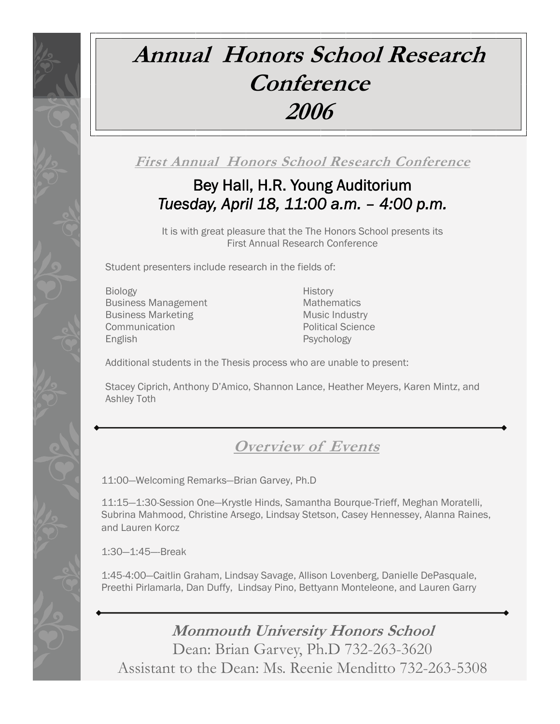# **Annual Honors School Research Conference 2006**

**First Annual Honors School Research Conference**

# Bey Hall, H.R. Young Auditorium *Tuesday, April 18, 11:00 a.m. – 4:00 p.m.*

It is with great pleasure that the The Honors School presents its First Annual Research Conference

Student presenters include research in the fields of:

Biology **History** Business Management Mathematics Business Marketing Music Industry **Communication Communication Political Science** English Psychology

Additional students in the Thesis process who are unable to present:

Stacey Ciprich, Anthony D'Amico, Shannon Lance, Heather Meyers, Karen Mintz, and Ashley Toth

# **Overview of Events**

11:00—Welcoming Remarks—Brian Garvey, Ph.D

11:15—1:30-Session One—Krystle Hinds, Samantha Bourque-Trieff, Meghan Moratelli, Subrina Mahmood, Christine Arsego, Lindsay Stetson, Casey Hennessey, Alanna Raines, and Lauren Korcz

1:30—1:45—-Break

1:45-4:00—Caitlin Graham, Lindsay Savage, Allison Lovenberg, Danielle DePasquale, Preethi Pirlamarla, Dan Duffy, Lindsay Pino, Bettyann Monteleone, and Lauren Garry

**Monmouth University Honors School**  Dean: Brian Garvey, Ph.D 732-263-3620 Assistant to the Dean: Ms. Reenie Menditto 732-263-5308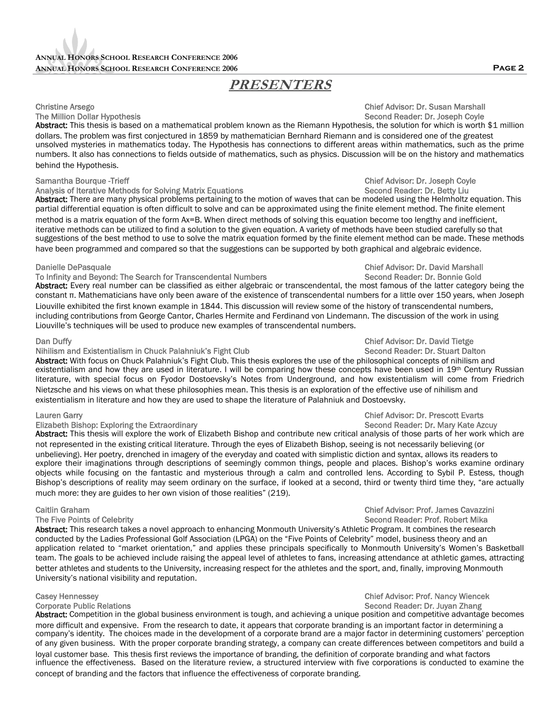## **PRESENTERS**

Abstract: This thesis is based on a mathematical problem known as the Riemann Hypothesis, the solution for which is worth \$1 million dollars. The problem was first conjectured in 1859 by mathematician Bernhard Riemann and is considered one of the greatest unsolved mysteries in mathematics today. The Hypothesis has connections to different areas within mathematics, such as the prime numbers. It also has connections to fields outside of mathematics, such as physics. Discussion will be on the history and mathematics behind the Hypothesis.

### Samantha Bourque -Trieff Chief Advisor: Dr. Joseph Coyle

### Analysis of Iterative Methods for Solving Matrix Equations Second Reader: Dr. Betty Liu

Abstract: There are many physical problems pertaining to the motion of waves that can be modeled using the Helmholtz equation. This partial differential equation is often difficult to solve and can be approximated using the finite element method. The finite element method is a matrix equation of the form Ax=B. When direct methods of solving this equation become too lengthy and inefficient, iterative methods can be utilized to find a solution to the given equation. A variety of methods have been studied carefully so that suggestions of the best method to use to solve the matrix equation formed by the finite element method can be made. These methods have been programmed and compared so that the suggestions can be supported by both graphical and algebraic evidence.

### Danielle DePasquale Chief Advisor: Dr. David Marshall To Infinity and Beyond: The Search for Transcendental Numbers

Abstract: Every real number can be classified as either algebraic or transcendental, the most famous of the latter category being the constant π. Mathematicians have only been aware of the existence of transcendental numbers for a little over 150 years, when Joseph Liouville exhibited the first known example in 1844. This discussion will review some of the history of transcendental numbers, including contributions from George Cantor, Charles Hermite and Ferdinand von Lindemann. The discussion of the work in using Liouville's techniques will be used to produce new examples of transcendental numbers.

### Dan Duffy<br>Nihilism and Existentialism in Chuck Palahniuk's Fight Club<br>Nihilism and Existentialism in Chuck Palahniuk's Fight Club Nihilism and Existentialism in Chuck Palahniuk's Fight Club

Abstract: With focus on Chuck Palahniuk's Fight Club. This thesis explores the use of the philosophical concepts of nihilism and existentialism and how they are used in literature. I will be comparing how these concepts have been used in 19<sup>th</sup> Century Russian literature, with special focus on Fyodor Dostoevsky's Notes from Underground, and how existentialism will come from Friedrich Nietzsche and his views on what these philosophies mean. This thesis is an exploration of the effective use of nihilism and existentialism in literature and how they are used to shape the literature of Palahniuk and Dostoevsky.

### Lauren Garry Chief Advisor: Dr. Prescott Evarts

### Elizabeth Bishop: Exploring the Extraordinary Second Reader: Dr. Mary Kate Azcuv

Abstract: This thesis will explore the work of Elizabeth Bishop and contribute new critical analysis of those parts of her work which are not represented in the existing critical literature. Through the eyes of Elizabeth Bishop, seeing is not necessarily believing (or unbelieving). Her poetry, drenched in imagery of the everyday and coated with simplistic diction and syntax, allows its readers to explore their imaginations through descriptions of seemingly common things, people and places. Bishop's works examine ordinary objects while focusing on the fantastic and mysterious through a calm and controlled lens. According to Sybil P. Estess, though Bishop's descriptions of reality may seem ordinary on the surface, if looked at a second, third or twenty third time they, "are actually much more: they are guides to her own vision of those realities" (219).

Abstract: This research takes a novel approach to enhancing Monmouth University's Athletic Program. It combines the research conducted by the Ladies Professional Golf Association (LPGA) on the "Five Points of Celebrity" model, business theory and an application related to "market orientation," and applies these principals specifically to Monmouth University's Women's Basketball team. The goals to be achieved include raising the appeal level of athletes to fans, increasing attendance at athletic games, attracting better athletes and students to the University, increasing respect for the athletes and the sport, and, finally, improving Monmouth University's national visibility and reputation.

Abstract: Competition in the global business environment is tough, and achieving a unique position and competitive advantage becomes more difficult and expensive. From the research to date, it appears that corporate branding is an important factor in determining a company's identity. The choices made in the development of a corporate brand are a major factor in determining customers' perception of any given business. With the proper corporate branding strategy, a company can create differences between competitors and build a loyal customer base. This thesis first reviews the importance of branding, the definition of corporate branding and what factors influence the effectiveness. Based on the literature review, a structured interview with five corporations is conducted to examine the concept of branding and the factors that influence the effectiveness of corporate branding.

# Christine Arsego Chief Advisor: Dr. Susan Marshall

### Second Reader: Dr. Joseph Coyle

### Caitlin Graham Chief Advisor: Prof. James Cavazzini Second Reader: Prof. Robert Mika

### Casey Hennessey Chief Advisor: Prof. Nancy Wiencek Corporate Public Relations Second Reader: Dr. Juvan Zhang

### **Page 2**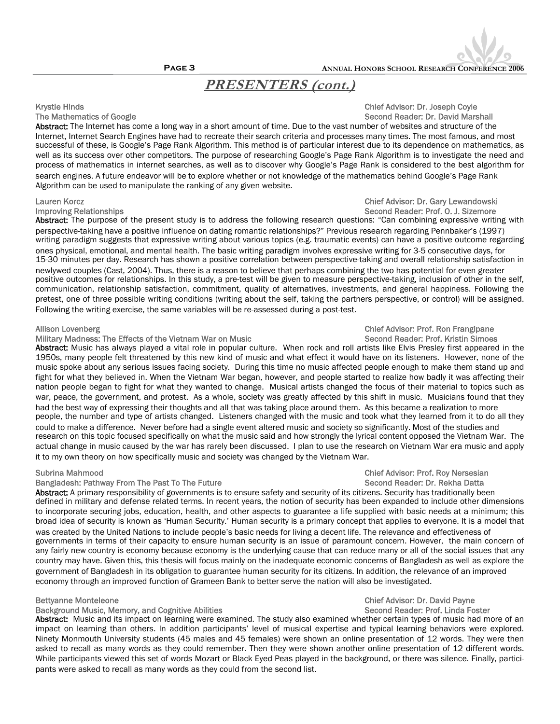

## **PRESENTERS (cont.)**

### Krystle Hinds **Chief Advisor: Dr. Joseph Coyle** The Mathematics of Google Second Reader: Dr. David Marshall

Abstract: The Internet has come a long way in a short amount of time. Due to the vast number of websites and structure of the Internet, Internet Search Engines have had to recreate their search criteria and processes many times. The most famous, and most successful of these, is Google's Page Rank Algorithm. This method is of particular interest due to its dependence on mathematics, as well as its success over other competitors. The purpose of researching Google's Page Rank Algorithm is to investigate the need and process of mathematics in internet searches, as well as to discover why Google's Page Rank is considered to the best algorithm for search engines. A future endeavor will be to explore whether or not knowledge of the mathematics behind Google's Page Rank Algorithm can be used to manipulate the ranking of any given website.

Abstract: The purpose of the present study is to address the following research questions: "Can combining expressive writing with perspective-taking have a positive influence on dating romantic relationships?" Previous research regarding Pennbaker's (1997) writing paradigm suggests that expressive writing about various topics (e.g. traumatic events) can have a positive outcome regarding ones physical, emotional, and mental health. The basic writing paradigm involves expressive writing for 3-5 consecutive days, for 15-30 minutes per day. Research has shown a positive correlation between perspective-taking and overall relationship satisfaction in newlywed couples (Cast, 2004). Thus, there is a reason to believe that perhaps combining the two has potential for even greater positive outcomes for relationships. In this study, a pre-test will be given to measure perspective-taking, inclusion of other in the self, communication, relationship satisfaction, commitment, quality of alternatives, investments, and general happiness. Following the pretest, one of three possible writing conditions (writing about the self, taking the partners perspective, or control) will be assigned. Following the writing exercise, the same variables will be re-assessed during a post-test.

### Military Madness: The Effects of the Vietnam War on Music

Abstract: Music has always played a vital role in popular culture. When rock and roll artists like Elvis Presley first appeared in the 1950s, many people felt threatened by this new kind of music and what effect it would have on its listeners. However, none of the music spoke about any serious issues facing society. During this time no music affected people enough to make them stand up and fight for what they believed in. When the Vietnam War began, however, and people started to realize how badly it was affecting their nation people began to fight for what they wanted to change. Musical artists changed the focus of their material to topics such as war, peace, the government, and protest. As a whole, society was greatly affected by this shift in music. Musicians found that they had the best way of expressing their thoughts and all that was taking place around them. As this became a realization to more people, the number and type of artists changed. Listeners changed with the music and took what they learned from it to do all they could to make a difference. Never before had a single event altered music and society so significantly. Most of the studies and research on this topic focused specifically on what the music said and how strongly the lyrical content opposed the Vietnam War. The actual change in music caused by the war has rarely been discussed. I plan to use the research on Vietnam War era music and apply it to my own theory on how specifically music and society was changed by the Vietnam War.

### Bangladesh: Pathway From The Past To The Future Second Reader: Dr. Rekha Datta

Abstract: A primary responsibility of governments is to ensure safety and security of its citizens. Security has traditionally been defined in military and defense related terms. In recent years, the notion of security has been expanded to include other dimensions to incorporate securing jobs, education, health, and other aspects to guarantee a life supplied with basic needs at a minimum; this broad idea of security is known as 'Human Security.' Human security is a primary concept that applies to everyone. It is a model that was created by the United Nations to include people's basic needs for living a decent life. The relevance and effectiveness of governments in terms of their capacity to ensure human security is an issue of paramount concern. However, the main concern of any fairly new country is economy because economy is the underlying cause that can reduce many or all of the social issues that any country may have. Given this, this thesis will focus mainly on the inadequate economic concerns of Bangladesh as well as explore the government of Bangladesh in its obligation to guarantee human security for its citizens. In addition, the relevance of an improved economy through an improved function of Grameen Bank to better serve the nation will also be investigated.

### Background Music, Memory, and Cognitive Abilities

Abstract: Music and its impact on learning were examined. The study also examined whether certain types of music had more of an impact on learning than others. In addition participants' level of musical expertise and typical learning behaviors were explored. Ninety Monmouth University students (45 males and 45 females) were shown an online presentation of 12 words. They were then asked to recall as many words as they could remember. Then they were shown another online presentation of 12 different words. While participants viewed this set of words Mozart or Black Eyed Peas played in the background, or there was silence. Finally, participants were asked to recall as many words as they could from the second list.

### Lauren Korcz Chief Advisor: Dr. Gary Lewandowski Second Reader: Prof. O. J. Sizemore

# Allison Lovenberg<br>Military Madness: The Effects of the Vietnam War on Music Number Chief Advisor: Prof. Ron Frangipane<br>Chief Advisor: Prof. Kristin Simoes

# Bettyanne Monteleone<br>Background Music. Memory. and Cognitive Abilities **Chief Advisor: Dr. David Payne**<br>Chief Advisor: Dr. Chief Advisor: Chief Advisor: Dr. David Payne

# Subrina Mahmood Chief Advisor: Prof. Roy Nersesian